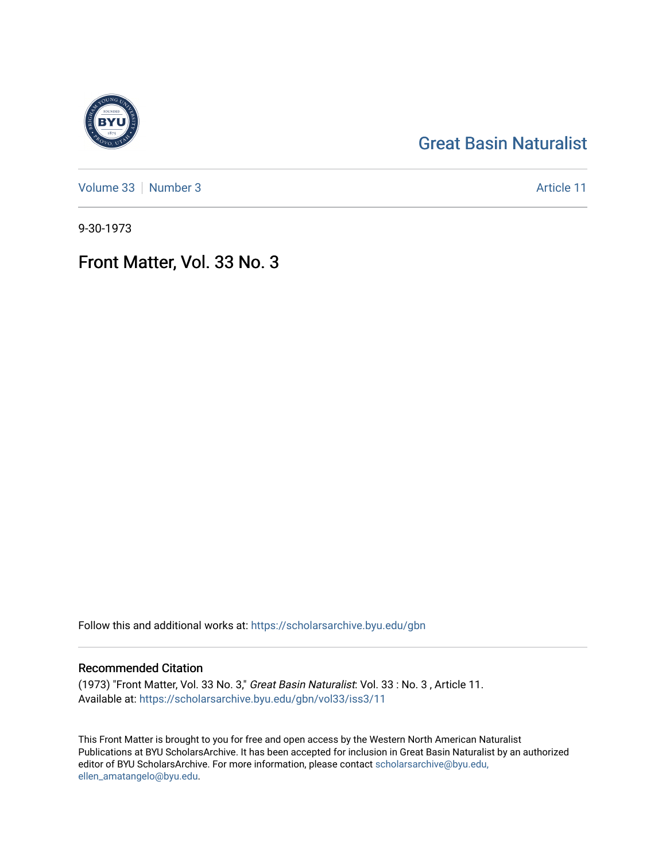### [Great Basin Naturalist](https://scholarsarchive.byu.edu/gbn)

[Volume 33](https://scholarsarchive.byu.edu/gbn/vol33) [Number 3](https://scholarsarchive.byu.edu/gbn/vol33/iss3) Article 11

9-30-1973

## Front Matter, Vol. 33 No. 3

Follow this and additional works at: [https://scholarsarchive.byu.edu/gbn](https://scholarsarchive.byu.edu/gbn?utm_source=scholarsarchive.byu.edu%2Fgbn%2Fvol33%2Fiss3%2F11&utm_medium=PDF&utm_campaign=PDFCoverPages) 

#### Recommended Citation

(1973) "Front Matter, Vol. 33 No. 3," Great Basin Naturalist: Vol. 33 : No. 3 , Article 11. Available at: [https://scholarsarchive.byu.edu/gbn/vol33/iss3/11](https://scholarsarchive.byu.edu/gbn/vol33/iss3/11?utm_source=scholarsarchive.byu.edu%2Fgbn%2Fvol33%2Fiss3%2F11&utm_medium=PDF&utm_campaign=PDFCoverPages) 

This Front Matter is brought to you for free and open access by the Western North American Naturalist Publications at BYU ScholarsArchive. It has been accepted for inclusion in Great Basin Naturalist by an authorized editor of BYU ScholarsArchive. For more information, please contact [scholarsarchive@byu.edu,](mailto:scholarsarchive@byu.edu,%20ellen_amatangelo@byu.edu) [ellen\\_amatangelo@byu.edu](mailto:scholarsarchive@byu.edu,%20ellen_amatangelo@byu.edu).

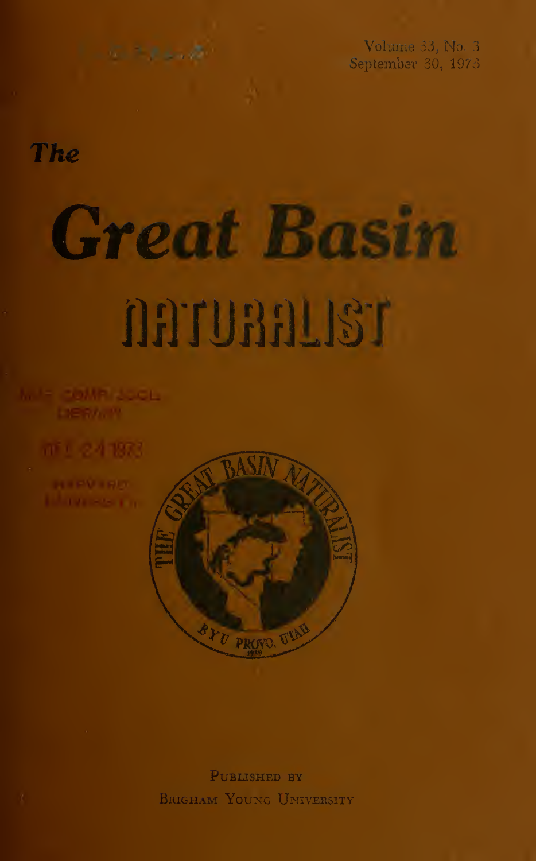Volume 33, No. 3 September 30, 1973

## The

# Great Ba

# naruaalisr

**IF COMPLISION** 

mit 24 1973



Published by Brigham Young University